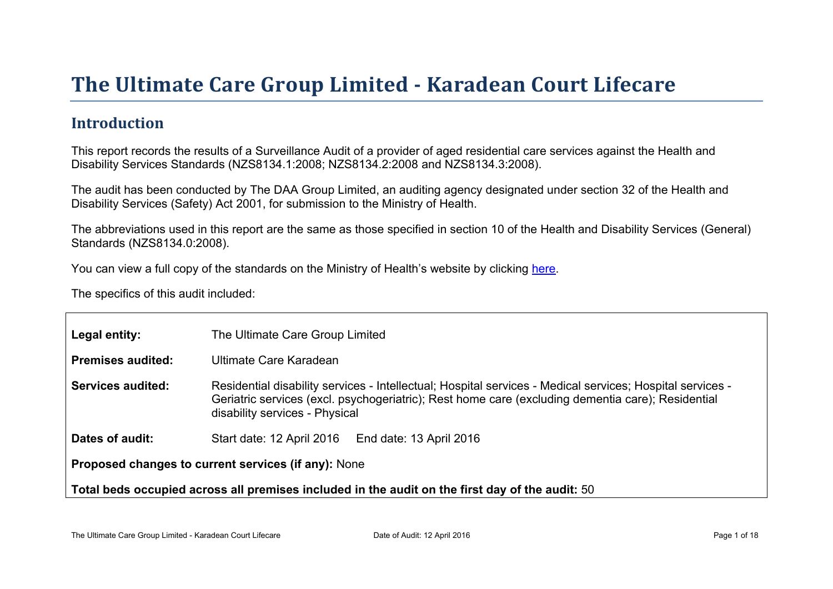# The Ultimate Car e Gr oup Limited - Kar adean Court Lifecar e

### Introduction

This report records the results of a Surveillance Audit of a provider of aged residential care services against the Health and Disability Services Standards (NZS8134.1:2008; NZS8134.2:2008 and NZS8134.3:2008).

The audit has been conducted by The DAA Group Limited, an auditing agency designated under section 32 of the Health and Disability Services (Safety) Act 2001, for submission to the Ministry of Health.

The abbreviations used in this report are the same as those specified in section 10 of the Health and Disability Services (General) Standards (NZS8134.0:2008).

You can view a full copy of the standards on the Ministry of Health's website by clicking [here.](http://www.health.govt.nz/our-work/regulation-health-and-disability-system/certification-health-care-services/health-and-disability-services-standards)

The specifics of this audit included:

| Legal entity:                                                                                      | The Ultimate Care Group Limited                                                                                                                                                                                                                  |  |  |  |
|----------------------------------------------------------------------------------------------------|--------------------------------------------------------------------------------------------------------------------------------------------------------------------------------------------------------------------------------------------------|--|--|--|
| Premises audited:                                                                                  | Ultimate Care Karadean                                                                                                                                                                                                                           |  |  |  |
| Services audited:                                                                                  | Residential disability services - Intellectual; Hospital services - Medical services; Hospital services -<br>Geriatric services (excl. psychogeriatric); Rest home care (excluding dementia care); Residential<br>disability services - Physical |  |  |  |
| Dates of audit:                                                                                    | Start date: 12 April 2016<br>End date: 13 April 2016                                                                                                                                                                                             |  |  |  |
| Proposed changes to current<br>services (if any): None                                             |                                                                                                                                                                                                                                                  |  |  |  |
| Total beds occupied across all premises included<br>in the audit on the first day of the audit: 50 |                                                                                                                                                                                                                                                  |  |  |  |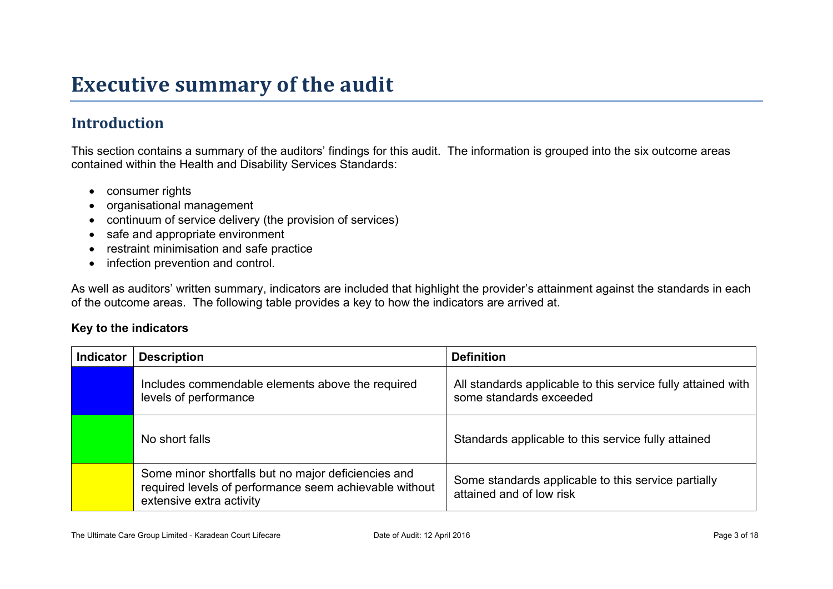# **Executive summary of the audit**

## **Introduction**

This section contains a summary of the auditors' findings for this audit. The information is grouped into the six outcome areas contained within the Health and Disability Services Standards:

- consumer rights
- organisational management
- continuum of service delivery (the provision of services)
- safe and appropriate environment
- restraint minimisation and safe practice
- infection prevention and control.

As well as auditors' written summary, indicators are included that highlight the provider's attainment against the standards in each of the outcome areas. The following table provides a key to how the indicators are arrived at.

#### **Key to the indicators**

| <b>Indicator</b> | <b>Description</b>                                                                                                                        | <b>Definition</b>                                                                       |
|------------------|-------------------------------------------------------------------------------------------------------------------------------------------|-----------------------------------------------------------------------------------------|
|                  | Includes commendable elements above the required<br>levels of performance                                                                 | All standards applicable to this service fully attained with<br>some standards exceeded |
|                  | No short falls                                                                                                                            | Standards applicable to this service fully attained                                     |
|                  | Some minor shortfalls but no major deficiencies and<br>required levels of performance seem achievable without<br>extensive extra activity | Some standards applicable to this service partially<br>attained and of low risk         |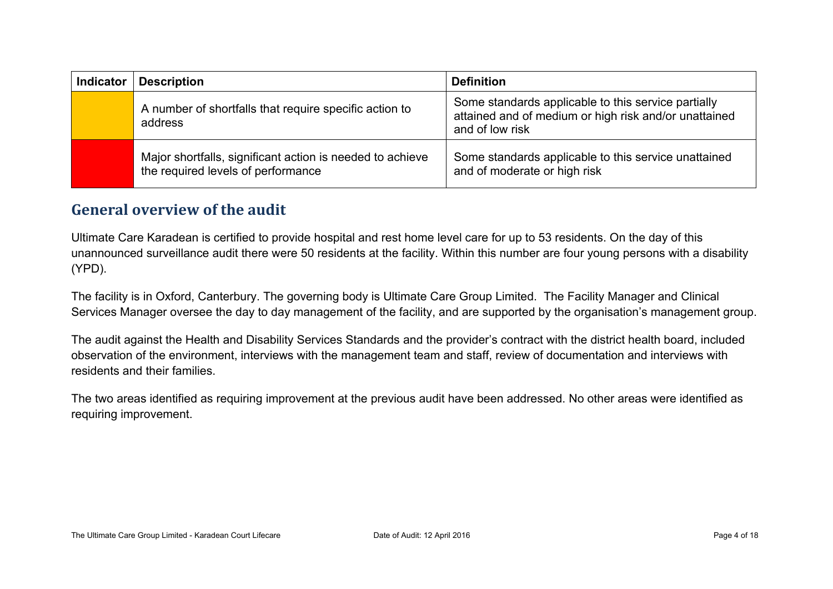| <b>Indicator</b> | <b>Description</b>                                                                              | <b>Definition</b>                                                                                                               |
|------------------|-------------------------------------------------------------------------------------------------|---------------------------------------------------------------------------------------------------------------------------------|
|                  | A number of shortfalls that require specific action to<br>address                               | Some standards applicable to this service partially<br>attained and of medium or high risk and/or unattained<br>and of low risk |
|                  | Major shortfalls, significant action is needed to achieve<br>the required levels of performance | Some standards applicable to this service unattained<br>and of moderate or high risk                                            |

### **General overview of the audit**

Ultimate Care Karadean is certified to provide hospital and rest home level care for up to 53 residents. On the day of this unannounced surveillance audit there were 50 residents at the facility. Within this number are four young persons with a disability (YPD).

The facility is in Oxford, Canterbury. The governing body is Ultimate Care Group Limited. The Facility Manager and Clinical Services Manager oversee the day to day management of the facility, and are supported by the organisation's management group.

The audit against the Health and Disability Services Standards and the provider's contract with the district health board, included observation of the environment, interviews with the management team and staff, review of documentation and interviews with residents and their families.

The two areas identified as requiring improvement at the previous audit have been addressed. No other areas were identified as requiring improvement.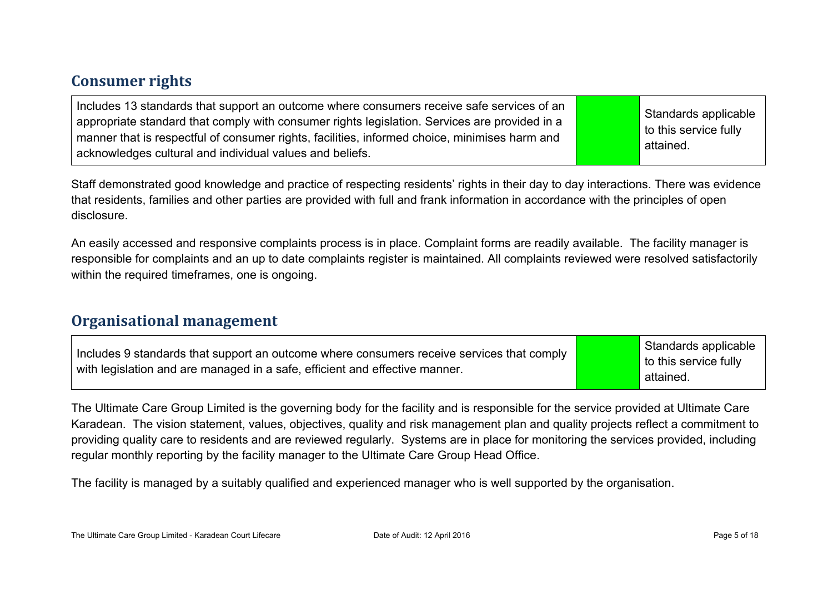### **Consumer rights**

| Includes 13 standards that support an outcome where consumers receive safe services of an<br>appropriate standard that comply with consumer rights legislation. Services are provided in a<br>manner that is respectful of consumer rights, facilities, informed choice, minimises harm and<br>acknowledges cultural and individual values and beliefs. |  | Standards applicable<br>to this service fully<br>attained. |
|---------------------------------------------------------------------------------------------------------------------------------------------------------------------------------------------------------------------------------------------------------------------------------------------------------------------------------------------------------|--|------------------------------------------------------------|
|---------------------------------------------------------------------------------------------------------------------------------------------------------------------------------------------------------------------------------------------------------------------------------------------------------------------------------------------------------|--|------------------------------------------------------------|

Staff demonstrated good knowledge and practice of respecting residents' rights in their day to day interactions. There was evidence that residents, families and other parties are provided with full and frank information in accordance with the principles of open disclosure.

An easily accessed and responsive complaints process is in place. Complaint forms are readily available. The facility manager is responsible for complaints and an up to date complaints register is maintained. All complaints reviewed were resolved satisfactorily within the required timeframes, one is ongoing.

#### **Organisational management**

| Includes 9 standards that support an outcome where consumers receive services that comply<br>$\perp$ with legislation and are managed in a safe, efficient and effective manner. |  | Standards applicable<br>to this service fully<br>attained. |
|----------------------------------------------------------------------------------------------------------------------------------------------------------------------------------|--|------------------------------------------------------------|
|----------------------------------------------------------------------------------------------------------------------------------------------------------------------------------|--|------------------------------------------------------------|

The Ultimate Care Group Limited is the governing body for the facility and is responsible for the service provided at Ultimate Care Karadean. The vision statement, values, objectives, quality and risk management plan and quality projects reflect a commitment to providing quality care to residents and are reviewed regularly. Systems are in place for monitoring the services provided, including regular monthly reporting by the facility manager to the Ultimate Care Group Head Office.

The facility is managed by a suitably qualified and experienced manager who is well supported by the organisation.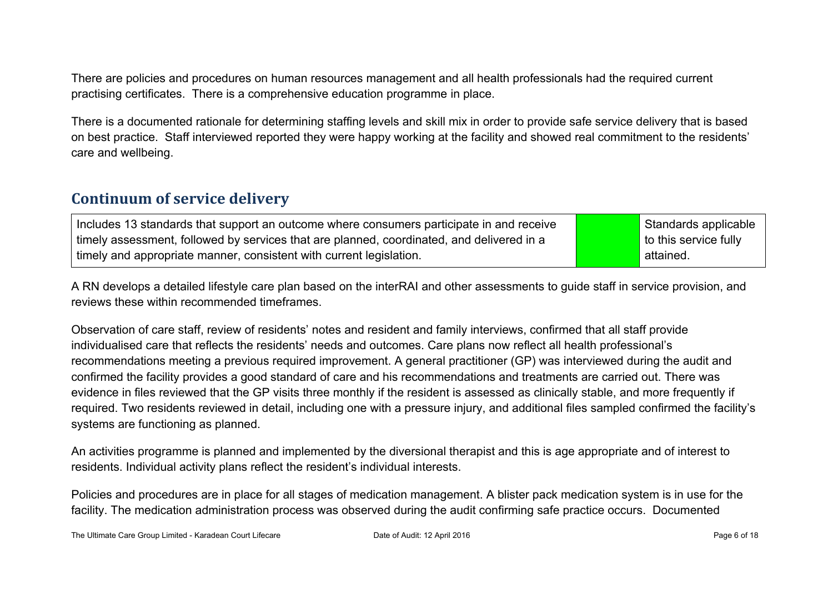There are policies and procedures on human resources management and all health professionals had the required current practising certificates. There is a comprehensive education programme in place.

There is a documented rationale for determining staffing levels and skill mix in order to provide safe service delivery that is based on best practice. Staff interviewed reported they were happy working at the facility and showed real commitment to the residents' care and wellbeing.

#### **Continuum of service delivery**

| Includes 13 standards that support an outcome where consumers participate in and receive  | Standards applicable  |
|-------------------------------------------------------------------------------------------|-----------------------|
| timely assessment, followed by services that are planned, coordinated, and delivered in a | to this service fully |
| timely and appropriate manner, consistent with current legislation.                       | attained.             |

A RN develops a detailed lifestyle care plan based on the interRAI and other assessments to guide staff in service provision, and reviews these within recommended timeframes.

Observation of care staff, review of residents' notes and resident and family interviews, confirmed that all staff provide individualised care that reflects the residents' needs and outcomes. Care plans now reflect all health professional's recommendations meeting a previous required improvement. A general practitioner (GP) was interviewed during the audit and confirmed the facility provides a good standard of care and his recommendations and treatments are carried out. There was evidence in files reviewed that the GP visits three monthly if the resident is assessed as clinically stable, and more frequently if required. Two residents reviewed in detail, including one with a pressure injury, and additional files sampled confirmed the facility's systems are functioning as planned.

An activities programme is planned and implemented by the diversional therapist and this is age appropriate and of interest to residents. Individual activity plans reflect the resident's individual interests.

Policies and procedures are in place for all stages of medication management. A blister pack medication system is in use for the facility. The medication administration process was observed during the audit confirming safe practice occurs. Documented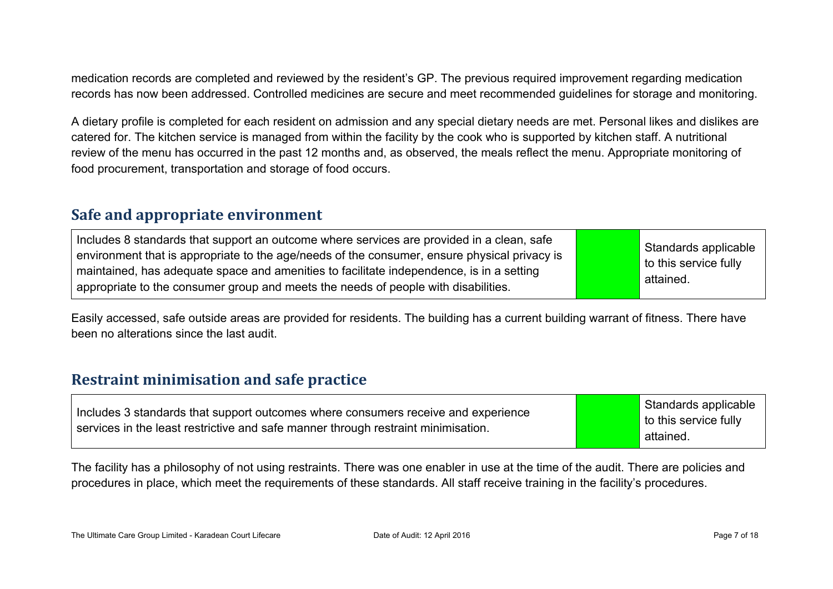medication records are completed and reviewed by the resident's GP. The previous required improvement regarding medication records has now been addressed. Controlled medicines are secure and meet recommended guidelines for storage and monitoring.

A dietary profile is completed for each resident on admission and any special dietary needs are met. Personal likes and dislikes are catered for. The kitchen service is managed from within the facility by the cook who is supported by kitchen staff. A nutritional review of the menu has occurred in the past 12 months and, as observed, the meals reflect the menu. Appropriate monitoring of food procurement, transportation and storage of food occurs.

#### **Safe and appropriate environment**

| Includes 8 standards that support an outcome where services are provided in a clean, safe<br>environment that is appropriate to the age/needs of the consumer, ensure physical privacy is<br>maintained, has adequate space and amenities to facilitate independence, is in a setting<br>appropriate to the consumer group and meets the needs of people with disabilities. |  | Standards applicable<br>to this service fully<br>attained. |
|-----------------------------------------------------------------------------------------------------------------------------------------------------------------------------------------------------------------------------------------------------------------------------------------------------------------------------------------------------------------------------|--|------------------------------------------------------------|
|-----------------------------------------------------------------------------------------------------------------------------------------------------------------------------------------------------------------------------------------------------------------------------------------------------------------------------------------------------------------------------|--|------------------------------------------------------------|

Easily accessed, safe outside areas are provided for residents. The building has a current building warrant of fitness. There have been no alterations since the last audit.

#### **Restraint minimisation and safe practice**

| Includes 3 standards that support outcomes where consumers receive and experience | Standards applicable<br>to this service fully |
|-----------------------------------------------------------------------------------|-----------------------------------------------|
| services in the least restrictive and safe manner through restraint minimisation. | attained.                                     |

The facility has a philosophy of not using restraints. There was one enabler in use at the time of the audit. There are policies and procedures in place, which meet the requirements of these standards. All staff receive training in the facility's procedures.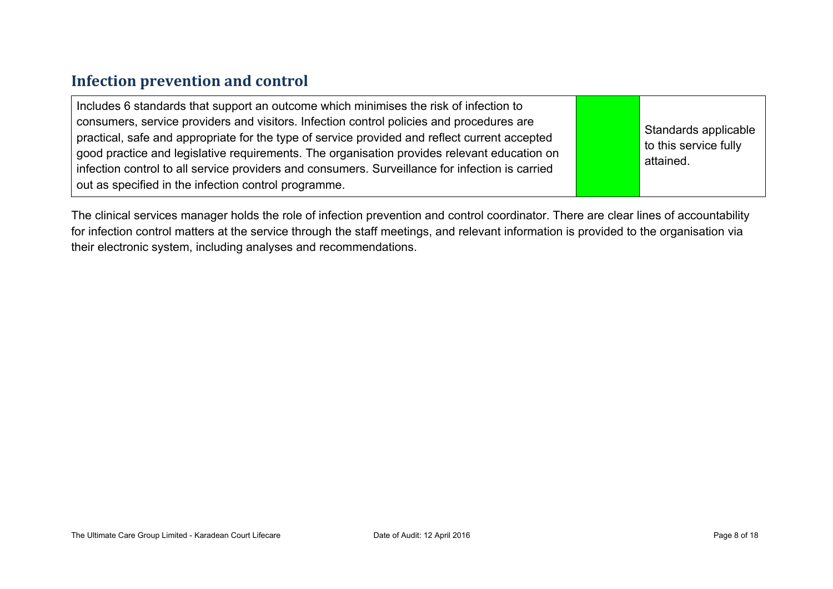### **Infection prevention and control**

| Includes 6 standards that support an outcome which minimises the risk of infection to<br>consumers, service providers and visitors. Infection control policies and procedures are<br>practical, safe and appropriate for the type of service provided and reflect current accepted<br>good practice and legislative requirements. The organisation provides relevant education on<br>infection control to all service providers and consumers. Surveillance for infection is carried<br>out as specified in the infection control programme. |  | Standards applicable<br>to this service fully<br>attained. |
|----------------------------------------------------------------------------------------------------------------------------------------------------------------------------------------------------------------------------------------------------------------------------------------------------------------------------------------------------------------------------------------------------------------------------------------------------------------------------------------------------------------------------------------------|--|------------------------------------------------------------|
|----------------------------------------------------------------------------------------------------------------------------------------------------------------------------------------------------------------------------------------------------------------------------------------------------------------------------------------------------------------------------------------------------------------------------------------------------------------------------------------------------------------------------------------------|--|------------------------------------------------------------|

The clinical services manager holds the role of infection prevention and control coordinator. There are clear lines of accountability for infection control matters at the service through the staff meetings, and relevant information is provided to the organisation via their electronic system, including analyses and recommendations.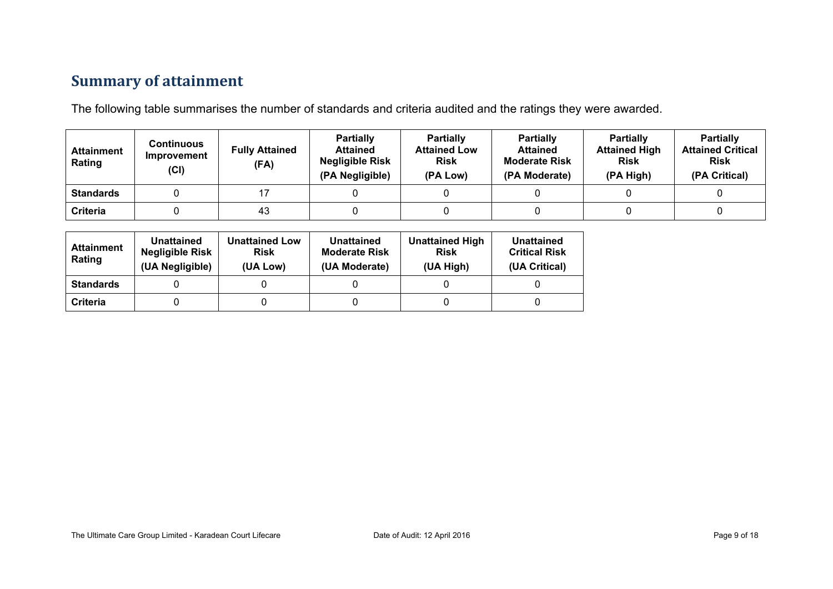## **Summary of attainment**

The following table summarises the number of standards and criteria audited and the ratings they were awarded.

| <b>Attainment</b><br>Rating | Continuous<br>Improvement<br>(Cl) | <b>Fully Attained</b><br>(FA) | <b>Partially</b><br><b>Attained</b><br><b>Negligible Risk</b><br>(PA Negligible) | <b>Partially</b><br><b>Attained Low</b><br><b>Risk</b><br>(PA Low) | <b>Partially</b><br><b>Attained</b><br><b>Moderate Risk</b><br>(PA Moderate) | <b>Partially</b><br><b>Attained High</b><br><b>Risk</b><br>(PA High) | <b>Partially</b><br><b>Attained Critical</b><br><b>Risk</b><br>(PA Critical) |
|-----------------------------|-----------------------------------|-------------------------------|----------------------------------------------------------------------------------|--------------------------------------------------------------------|------------------------------------------------------------------------------|----------------------------------------------------------------------|------------------------------------------------------------------------------|
| <b>Standards</b>            |                                   |                               |                                                                                  |                                                                    |                                                                              |                                                                      |                                                                              |
| Criteria                    |                                   | 43                            |                                                                                  |                                                                    |                                                                              |                                                                      |                                                                              |

| <b>Attainment</b><br>Rating | Unattained<br><b>Negligible Risk</b><br>(UA Negligible) | <b>Unattained Low</b><br><b>Risk</b><br>(UA Low) | Unattained<br><b>Moderate Risk</b><br>(UA Moderate) | <b>Unattained High</b><br><b>Risk</b><br>(UA High) | Unattained<br><b>Critical Risk</b><br>(UA Critical) |
|-----------------------------|---------------------------------------------------------|--------------------------------------------------|-----------------------------------------------------|----------------------------------------------------|-----------------------------------------------------|
| <b>Standards</b>            |                                                         |                                                  |                                                     |                                                    |                                                     |
| Criteria                    |                                                         |                                                  |                                                     |                                                    |                                                     |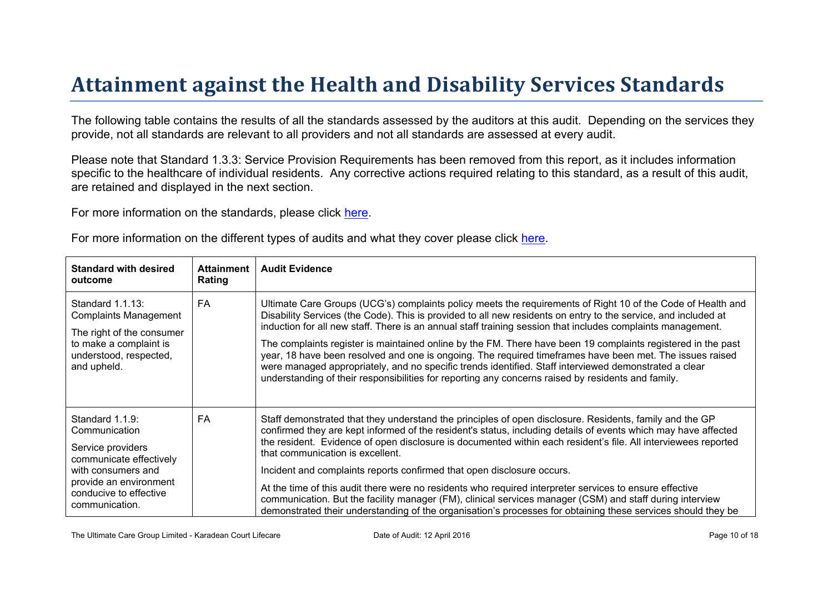# Attainment against the Health and Disability Ser vices Standar ds

The following table contains the results of all the standards assessed by the auditors at this audit. Depending on the services they provide, not all standards are relevant to all providers and not all standards are assessed at every audit.

Please note that Standard 1.3.3: Service Provision Requirements has been removed from this report, as it includes information specific to the healthcare of individual residents. Any corrective actions required relating to this standard, as a result of this audit, are retained and displayed in the next section.

For more information on the standards, please click [here](http://www.health.govt.nz/our-work/regulation-health-and-disability-system/certification-health-care-services/health-and-disability-services-standards).

|  |  |  |  | For more information on the different types of audits and what they cover please click here. |
|--|--|--|--|----------------------------------------------------------------------------------------------|
|--|--|--|--|----------------------------------------------------------------------------------------------|

| Standard with desired<br>outcome                                                                                                                                             | Attainment<br>Rating | <b>Audit Evidence</b>                                                                                                                                                                                                                                                                                                                                                                                                                                                                                                                                                                                                                                                                                                                                                                            |
|------------------------------------------------------------------------------------------------------------------------------------------------------------------------------|----------------------|--------------------------------------------------------------------------------------------------------------------------------------------------------------------------------------------------------------------------------------------------------------------------------------------------------------------------------------------------------------------------------------------------------------------------------------------------------------------------------------------------------------------------------------------------------------------------------------------------------------------------------------------------------------------------------------------------------------------------------------------------------------------------------------------------|
| Standard 1.1.13:<br><b>Complaints Management</b><br>The right of the consumer<br>to make a complaint is<br>understood, respected,<br>and upheld.                             | FA                   | Ultimate Care Groups (UCG's) complaints policy meets the requirements of Right 10 of the Code of Health and<br>Disability Services (the Code). This is provided to all new residents on entry to the service, and included at<br>induction for all new staff. There is an annual staff training session that includes complaints management.<br>The complaints register is maintained online by the FM. There have been 19 complaints registered in the past<br>year, 18 have been resolved and one is ongoing. The required timeframes have been met. The issues raised<br>were managed appropriately, and no specific trends identified. Staff interviewed demonstrated a clear<br>understanding of their responsibilities for reporting any concerns raised by residents and family.          |
| Standard 1.1.9:<br>Communication<br>Service providers<br>communicate effectively<br>with consumers and<br>provide an environment<br>conducive to effective<br>communication. | FA                   | Staff demonstrated that they understand the principles of open disclosure. Residents, family and the GP<br>confirmed they are kept informed of the resident's status, including details of events which may have affected<br>the resident. Evidence of open disclosure is documented within each resident's file. All interviewees reported<br>that communication is excellent.<br>Incident and complaints reports confirmed that open disclosure occurs.<br>At the time of this audit there were no residents who required interpreter services to ensure effective<br>communication. But the facility manager (FM), clinical services manager (CSM) and staff during interview<br>demonstrated their understanding of the organisation's processes for obtaining these services should they be |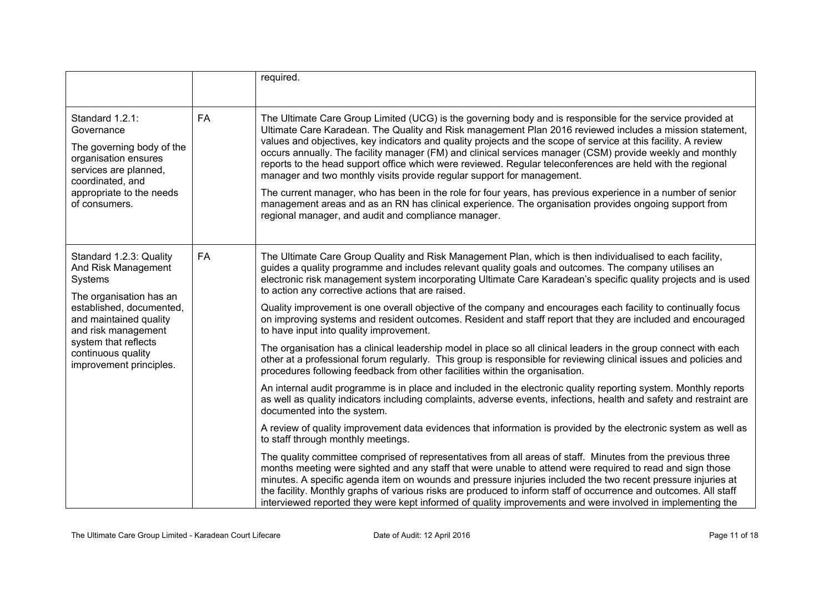|                                                                                                                                                                                                                                            |           | required.                                                                                                                                                                                                                                                                                                                                                                                                                                                                                                                                                                                                                                                                                                                                                                                                                                                                                                                                                                                                                                                                                                                                                                                                                                                                                                                                                                                                                                                                                                                                                                                                                                                                                                                                                                  |
|--------------------------------------------------------------------------------------------------------------------------------------------------------------------------------------------------------------------------------------------|-----------|----------------------------------------------------------------------------------------------------------------------------------------------------------------------------------------------------------------------------------------------------------------------------------------------------------------------------------------------------------------------------------------------------------------------------------------------------------------------------------------------------------------------------------------------------------------------------------------------------------------------------------------------------------------------------------------------------------------------------------------------------------------------------------------------------------------------------------------------------------------------------------------------------------------------------------------------------------------------------------------------------------------------------------------------------------------------------------------------------------------------------------------------------------------------------------------------------------------------------------------------------------------------------------------------------------------------------------------------------------------------------------------------------------------------------------------------------------------------------------------------------------------------------------------------------------------------------------------------------------------------------------------------------------------------------------------------------------------------------------------------------------------------------|
| Standard 1.2.1:<br>Governance<br>The governing body of the<br>organisation ensures<br>services are planned,<br>coordinated, and<br>appropriate to the needs<br>of consumers.                                                               | <b>FA</b> | The Ultimate Care Group Limited (UCG) is the governing body and is responsible for the service provided at<br>Ultimate Care Karadean. The Quality and Risk management Plan 2016 reviewed includes a mission statement,<br>values and objectives, key indicators and quality projects and the scope of service at this facility. A review<br>occurs annually. The facility manager (FM) and clinical services manager (CSM) provide weekly and monthly<br>reports to the head support office which were reviewed. Regular teleconferences are held with the regional<br>manager and two monthly visits provide regular support for management.<br>The current manager, who has been in the role for four years, has previous experience in a number of senior<br>management areas and as an RN has clinical experience. The organisation provides ongoing support from<br>regional manager, and audit and compliance manager.                                                                                                                                                                                                                                                                                                                                                                                                                                                                                                                                                                                                                                                                                                                                                                                                                                               |
| Standard 1.2.3: Quality<br>And Risk Management<br>Systems<br>The organisation has an<br>established, documented,<br>and maintained quality<br>and risk management<br>system that reflects<br>continuous quality<br>improvement principles. | <b>FA</b> | The Ultimate Care Group Quality and Risk Management Plan, which is then individualised to each facility,<br>guides a quality programme and includes relevant quality goals and outcomes. The company utilises an<br>electronic risk management system incorporating Ultimate Care Karadean's specific quality projects and is used<br>to action any corrective actions that are raised.<br>Quality improvement is one overall objective of the company and encourages each facility to continually focus<br>on improving systems and resident outcomes. Resident and staff report that they are included and encouraged<br>to have input into quality improvement.<br>The organisation has a clinical leadership model in place so all clinical leaders in the group connect with each<br>other at a professional forum regularly. This group is responsible for reviewing clinical issues and policies and<br>procedures following feedback from other facilities within the organisation.<br>An internal audit programme is in place and included in the electronic quality reporting system. Monthly reports<br>as well as quality indicators including complaints, adverse events, infections, health and safety and restraint are<br>documented into the system.<br>A review of quality improvement data evidences that information is provided by the electronic system as well as<br>to staff through monthly meetings.<br>The quality committee comprised of representatives from all areas of staff. Minutes from the previous three<br>months meeting were sighted and any staff that were unable to attend were required to read and sign those<br>minutes. A specific agenda item on wounds and pressure injuries included the two recent pressure injuries at |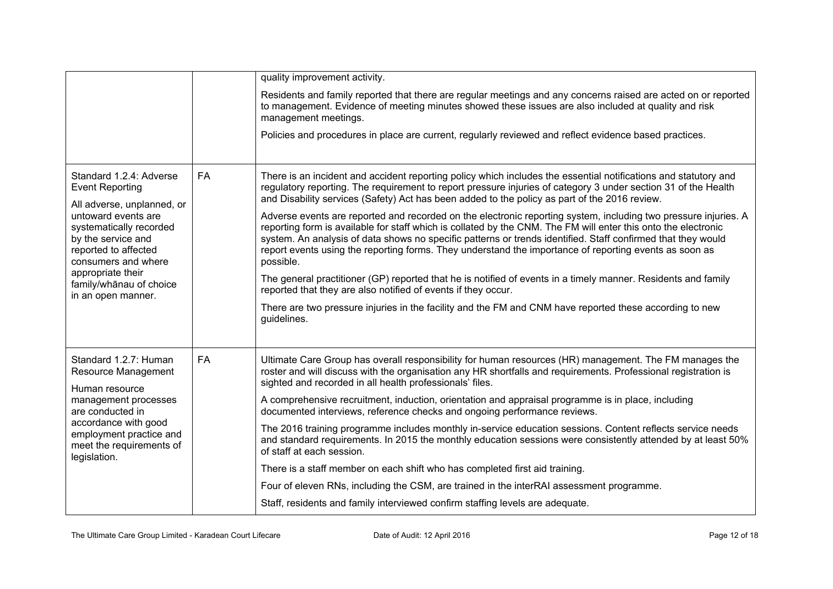|                                                                                                                                                                                                                                                                              |           | quality improvement activity.                                                                                                                                                                                                                                                                                                                                                                                                                                            |
|------------------------------------------------------------------------------------------------------------------------------------------------------------------------------------------------------------------------------------------------------------------------------|-----------|--------------------------------------------------------------------------------------------------------------------------------------------------------------------------------------------------------------------------------------------------------------------------------------------------------------------------------------------------------------------------------------------------------------------------------------------------------------------------|
|                                                                                                                                                                                                                                                                              |           | Residents and family reported that there are regular meetings and any concerns raised are acted on or reported<br>to management. Evidence of meeting minutes showed these issues are also included at quality and risk<br>management meetings.                                                                                                                                                                                                                           |
|                                                                                                                                                                                                                                                                              |           | Policies and procedures in place are current, regularly reviewed and reflect evidence based practices.                                                                                                                                                                                                                                                                                                                                                                   |
| Standard 1.2.4: Adverse<br><b>Event Reporting</b><br>All adverse, unplanned, or<br>untoward events are<br>systematically recorded<br>by the service and<br>reported to affected<br>consumers and where<br>appropriate their<br>family/whānau of choice<br>in an open manner. | <b>FA</b> | There is an incident and accident reporting policy which includes the essential notifications and statutory and<br>regulatory reporting. The requirement to report pressure injuries of category 3 under section 31 of the Health<br>and Disability services (Safety) Act has been added to the policy as part of the 2016 review.                                                                                                                                       |
|                                                                                                                                                                                                                                                                              |           | Adverse events are reported and recorded on the electronic reporting system, including two pressure injuries. A<br>reporting form is available for staff which is collated by the CNM. The FM will enter this onto the electronic<br>system. An analysis of data shows no specific patterns or trends identified. Staff confirmed that they would<br>report events using the reporting forms. They understand the importance of reporting events as soon as<br>possible. |
|                                                                                                                                                                                                                                                                              |           | The general practitioner (GP) reported that he is notified of events in a timely manner. Residents and family<br>reported that they are also notified of events if they occur.                                                                                                                                                                                                                                                                                           |
|                                                                                                                                                                                                                                                                              |           | There are two pressure injuries in the facility and the FM and CNM have reported these according to new<br>guidelines.                                                                                                                                                                                                                                                                                                                                                   |
| Standard 1.2.7: Human<br>Resource Management<br>Human resource<br>management processes<br>are conducted in<br>accordance with good<br>employment practice and<br>meet the requirements of<br>legislation.                                                                    | <b>FA</b> | Ultimate Care Group has overall responsibility for human resources (HR) management. The FM manages the<br>roster and will discuss with the organisation any HR shortfalls and requirements. Professional registration is<br>sighted and recorded in all health professionals' files.                                                                                                                                                                                     |
|                                                                                                                                                                                                                                                                              |           | A comprehensive recruitment, induction, orientation and appraisal programme is in place, including<br>documented interviews, reference checks and ongoing performance reviews.                                                                                                                                                                                                                                                                                           |
|                                                                                                                                                                                                                                                                              |           | The 2016 training programme includes monthly in-service education sessions. Content reflects service needs<br>and standard requirements. In 2015 the monthly education sessions were consistently attended by at least 50%<br>of staff at each session.                                                                                                                                                                                                                  |
|                                                                                                                                                                                                                                                                              |           | There is a staff member on each shift who has completed first aid training.                                                                                                                                                                                                                                                                                                                                                                                              |
|                                                                                                                                                                                                                                                                              |           | Four of eleven RNs, including the CSM, are trained in the interRAI assessment programme.                                                                                                                                                                                                                                                                                                                                                                                 |
|                                                                                                                                                                                                                                                                              |           | Staff, residents and family interviewed confirm staffing levels are adequate.                                                                                                                                                                                                                                                                                                                                                                                            |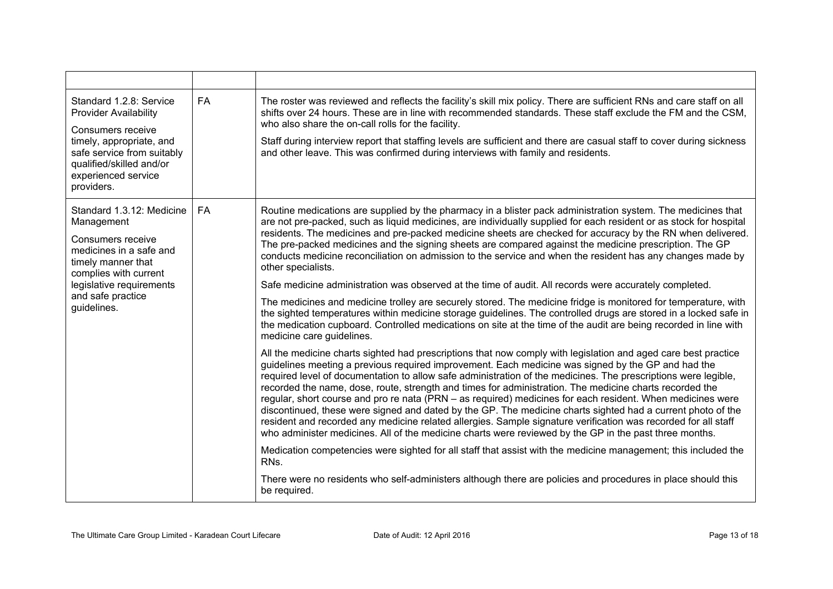| Standard 1.2.8: Service<br><b>Provider Availability</b><br>Consumers receive<br>timely, appropriate, and<br>safe service from suitably<br>qualified/skilled and/or<br>experienced service<br>providers. | <b>FA</b> | The roster was reviewed and reflects the facility's skill mix policy. There are sufficient RNs and care staff on all<br>shifts over 24 hours. These are in line with recommended standards. These staff exclude the FM and the CSM,<br>who also share the on-call rolls for the facility.<br>Staff during interview report that staffing levels are sufficient and there are casual staff to cover during sickness<br>and other leave. This was confirmed during interviews with family and residents.                                                                                                                                                                                                                                                                                                                                                                                                                                                                                                                                                                                                                                                                                                                                                                                                                                                                                                                                                                                                                                                                                                                                                                                                                                                                                                                                                                                                                                                                                                                                                                                                                                                                                                                                                  |
|---------------------------------------------------------------------------------------------------------------------------------------------------------------------------------------------------------|-----------|---------------------------------------------------------------------------------------------------------------------------------------------------------------------------------------------------------------------------------------------------------------------------------------------------------------------------------------------------------------------------------------------------------------------------------------------------------------------------------------------------------------------------------------------------------------------------------------------------------------------------------------------------------------------------------------------------------------------------------------------------------------------------------------------------------------------------------------------------------------------------------------------------------------------------------------------------------------------------------------------------------------------------------------------------------------------------------------------------------------------------------------------------------------------------------------------------------------------------------------------------------------------------------------------------------------------------------------------------------------------------------------------------------------------------------------------------------------------------------------------------------------------------------------------------------------------------------------------------------------------------------------------------------------------------------------------------------------------------------------------------------------------------------------------------------------------------------------------------------------------------------------------------------------------------------------------------------------------------------------------------------------------------------------------------------------------------------------------------------------------------------------------------------------------------------------------------------------------------------------------------------|
| Standard 1.3.12: Medicine<br>Management<br>Consumers receive<br>medicines in a safe and<br>timely manner that<br>complies with current<br>legislative requirements<br>and safe practice<br>guidelines.  | <b>FA</b> | Routine medications are supplied by the pharmacy in a blister pack administration system. The medicines that<br>are not pre-packed, such as liquid medicines, are individually supplied for each resident or as stock for hospital<br>residents. The medicines and pre-packed medicine sheets are checked for accuracy by the RN when delivered.<br>The pre-packed medicines and the signing sheets are compared against the medicine prescription. The GP<br>conducts medicine reconciliation on admission to the service and when the resident has any changes made by<br>other specialists.<br>Safe medicine administration was observed at the time of audit. All records were accurately completed.<br>The medicines and medicine trolley are securely stored. The medicine fridge is monitored for temperature, with<br>the sighted temperatures within medicine storage guidelines. The controlled drugs are stored in a locked safe in<br>the medication cupboard. Controlled medications on site at the time of the audit are being recorded in line with<br>medicine care guidelines.<br>All the medicine charts sighted had prescriptions that now comply with legislation and aged care best practice<br>guidelines meeting a previous required improvement. Each medicine was signed by the GP and had the<br>required level of documentation to allow safe administration of the medicines. The prescriptions were legible,<br>recorded the name, dose, route, strength and times for administration. The medicine charts recorded the<br>regular, short course and pro re nata (PRN – as required) medicines for each resident. When medicines were<br>discontinued, these were signed and dated by the GP. The medicine charts sighted had a current photo of the<br>resident and recorded any medicine related allergies. Sample signature verification was recorded for all staff<br>who administer medicines. All of the medicine charts were reviewed by the GP in the past three months.<br>Medication competencies were sighted for all staff that assist with the medicine management; this included the<br>RNs.<br>There were no residents who self-administers although there are policies and procedures in place should this |
|                                                                                                                                                                                                         |           | be required.                                                                                                                                                                                                                                                                                                                                                                                                                                                                                                                                                                                                                                                                                                                                                                                                                                                                                                                                                                                                                                                                                                                                                                                                                                                                                                                                                                                                                                                                                                                                                                                                                                                                                                                                                                                                                                                                                                                                                                                                                                                                                                                                                                                                                                            |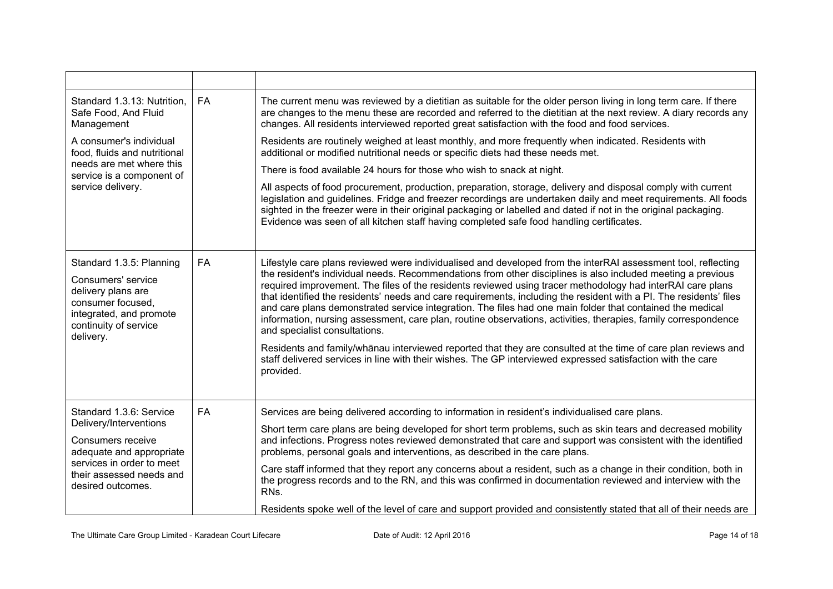| Standard 1.3.13: Nutrition,<br>Safe Food, And Fluid<br>Management                                                                                                                | <b>FA</b> | The current menu was reviewed by a dietitian as suitable for the older person living in long term care. If there<br>are changes to the menu these are recorded and referred to the dietitian at the next review. A diary records any<br>changes. All residents interviewed reported great satisfaction with the food and food services.                                                                                                                                                                                                                                                                                                                                                                                                                                                                                                                                                                                                                                       |
|----------------------------------------------------------------------------------------------------------------------------------------------------------------------------------|-----------|-------------------------------------------------------------------------------------------------------------------------------------------------------------------------------------------------------------------------------------------------------------------------------------------------------------------------------------------------------------------------------------------------------------------------------------------------------------------------------------------------------------------------------------------------------------------------------------------------------------------------------------------------------------------------------------------------------------------------------------------------------------------------------------------------------------------------------------------------------------------------------------------------------------------------------------------------------------------------------|
| A consumer's individual<br>food, fluids and nutritional                                                                                                                          |           | Residents are routinely weighed at least monthly, and more frequently when indicated. Residents with<br>additional or modified nutritional needs or specific diets had these needs met.                                                                                                                                                                                                                                                                                                                                                                                                                                                                                                                                                                                                                                                                                                                                                                                       |
| needs are met where this<br>service is a component of                                                                                                                            |           | There is food available 24 hours for those who wish to snack at night.                                                                                                                                                                                                                                                                                                                                                                                                                                                                                                                                                                                                                                                                                                                                                                                                                                                                                                        |
| service delivery.                                                                                                                                                                |           | All aspects of food procurement, production, preparation, storage, delivery and disposal comply with current<br>legislation and guidelines. Fridge and freezer recordings are undertaken daily and meet requirements. All foods<br>sighted in the freezer were in their original packaging or labelled and dated if not in the original packaging.<br>Evidence was seen of all kitchen staff having completed safe food handling certificates.                                                                                                                                                                                                                                                                                                                                                                                                                                                                                                                                |
| Standard 1.3.5: Planning<br>Consumers' service<br>delivery plans are<br>consumer focused,<br>integrated, and promote<br>continuity of service<br>delivery.                       | <b>FA</b> | Lifestyle care plans reviewed were individualised and developed from the interRAI assessment tool, reflecting<br>the resident's individual needs. Recommendations from other disciplines is also included meeting a previous<br>required improvement. The files of the residents reviewed using tracer methodology had interRAI care plans<br>that identified the residents' needs and care requirements, including the resident with a PI. The residents' files<br>and care plans demonstrated service integration. The files had one main folder that contained the medical<br>information, nursing assessment, care plan, routine observations, activities, therapies, family correspondence<br>and specialist consultations.<br>Residents and family/whanau interviewed reported that they are consulted at the time of care plan reviews and<br>staff delivered services in line with their wishes. The GP interviewed expressed satisfaction with the care<br>provided. |
| Standard 1.3.6: Service<br>Delivery/Interventions<br>Consumers receive<br>adequate and appropriate<br>services in order to meet<br>their assessed needs and<br>desired outcomes. | <b>FA</b> | Services are being delivered according to information in resident's individualised care plans.                                                                                                                                                                                                                                                                                                                                                                                                                                                                                                                                                                                                                                                                                                                                                                                                                                                                                |
|                                                                                                                                                                                  |           | Short term care plans are being developed for short term problems, such as skin tears and decreased mobility<br>and infections. Progress notes reviewed demonstrated that care and support was consistent with the identified<br>problems, personal goals and interventions, as described in the care plans.                                                                                                                                                                                                                                                                                                                                                                                                                                                                                                                                                                                                                                                                  |
|                                                                                                                                                                                  |           | Care staff informed that they report any concerns about a resident, such as a change in their condition, both in<br>the progress records and to the RN, and this was confirmed in documentation reviewed and interview with the<br>RN <sub>s</sub> .                                                                                                                                                                                                                                                                                                                                                                                                                                                                                                                                                                                                                                                                                                                          |
|                                                                                                                                                                                  |           | Residents spoke well of the level of care and support provided and consistently stated that all of their needs are                                                                                                                                                                                                                                                                                                                                                                                                                                                                                                                                                                                                                                                                                                                                                                                                                                                            |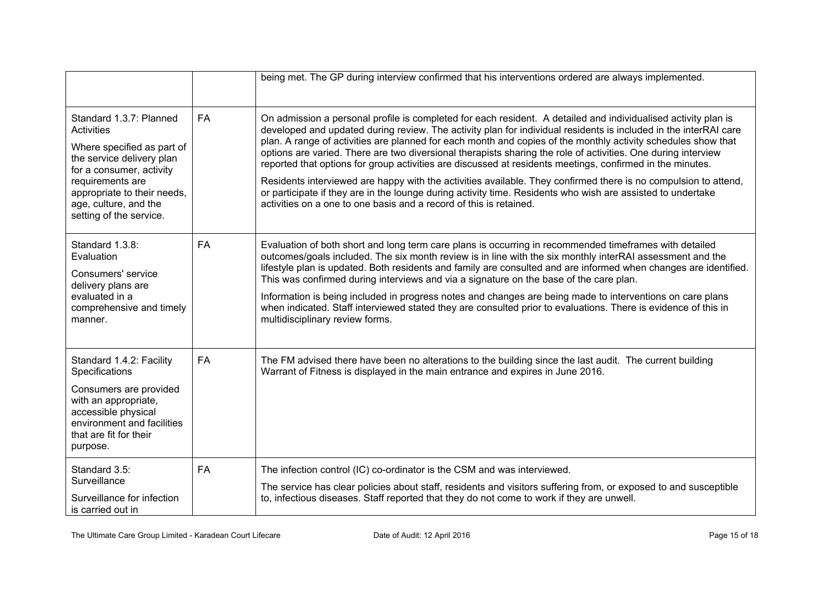|                                                                                                                                                                                                                                     |           | being met. The GP during interview confirmed that his interventions ordered are always implemented.                                                                                                                                                                                                                                                                                                                                                                                                                                                                                                                                                                                                                                                                                                                                                                                       |
|-------------------------------------------------------------------------------------------------------------------------------------------------------------------------------------------------------------------------------------|-----------|-------------------------------------------------------------------------------------------------------------------------------------------------------------------------------------------------------------------------------------------------------------------------------------------------------------------------------------------------------------------------------------------------------------------------------------------------------------------------------------------------------------------------------------------------------------------------------------------------------------------------------------------------------------------------------------------------------------------------------------------------------------------------------------------------------------------------------------------------------------------------------------------|
| Standard 1.3.7: Planned<br>Activities<br>Where specified as part of<br>the service delivery plan<br>for a consumer, activity<br>requirements are<br>appropriate to their needs,<br>age, culture, and the<br>setting of the service. | <b>FA</b> | On admission a personal profile is completed for each resident. A detailed and individualised activity plan is<br>developed and updated during review. The activity plan for individual residents is included in the interRAI care<br>plan. A range of activities are planned for each month and copies of the monthly activity schedules show that<br>options are varied. There are two diversional therapists sharing the role of activities. One during interview<br>reported that options for group activities are discussed at residents meetings, confirmed in the minutes.<br>Residents interviewed are happy with the activities available. They confirmed there is no compulsion to attend,<br>or participate if they are in the lounge during activity time. Residents who wish are assisted to undertake<br>activities on a one to one basis and a record of this is retained. |
| Standard 1.3.8:<br>Evaluation<br>Consumers' service<br>delivery plans are<br>evaluated in a<br>comprehensive and timely<br>manner.                                                                                                  | <b>FA</b> | Evaluation of both short and long term care plans is occurring in recommended timeframes with detailed<br>outcomes/goals included. The six month review is in line with the six monthly interRAI assessment and the<br>lifestyle plan is updated. Both residents and family are consulted and are informed when changes are identified.<br>This was confirmed during interviews and via a signature on the base of the care plan.<br>Information is being included in progress notes and changes are being made to interventions on care plans<br>when indicated. Staff interviewed stated they are consulted prior to evaluations. There is evidence of this in<br>multidisciplinary review forms.                                                                                                                                                                                       |
| Standard 1.4.2: Facility<br>Specifications<br>Consumers are provided<br>with an appropriate,<br>accessible physical<br>environment and facilities<br>that are fit for their<br>purpose.                                             | <b>FA</b> | The FM advised there have been no alterations to the building since the last audit. The current building<br>Warrant of Fitness is displayed in the main entrance and expires in June 2016.                                                                                                                                                                                                                                                                                                                                                                                                                                                                                                                                                                                                                                                                                                |
| Standard 3.5:<br>Surveillance<br>Surveillance for infection<br>is carried out in                                                                                                                                                    | <b>FA</b> | The infection control (IC) co-ordinator is the CSM and was interviewed.<br>The service has clear policies about staff, residents and visitors suffering from, or exposed to and susceptible<br>to, infectious diseases. Staff reported that they do not come to work if they are unwell.                                                                                                                                                                                                                                                                                                                                                                                                                                                                                                                                                                                                  |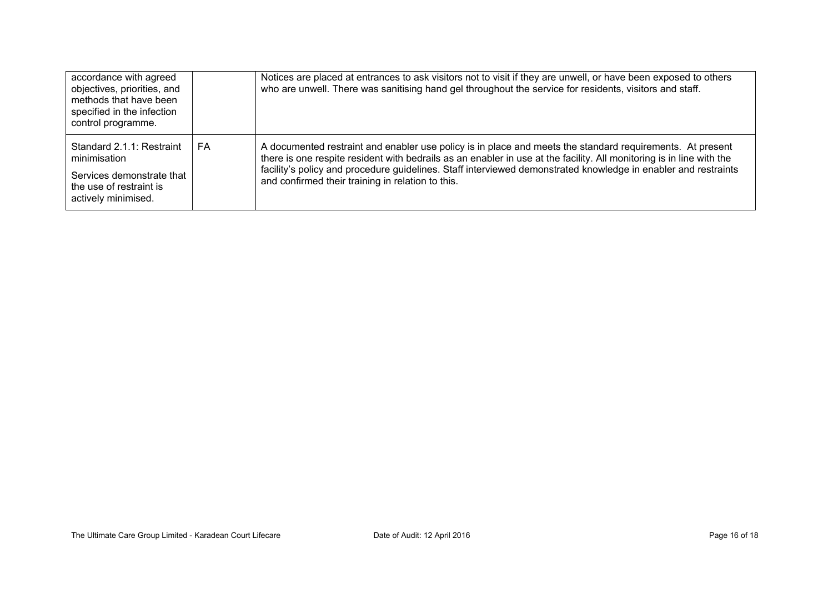| accordance with agreed<br>objectives, priorities, and<br>methods that have been<br>specified in the infection<br>control programme. |    | Notices are placed at entrances to ask visitors not to visit if they are unwell, or have been exposed to others<br>who are unwell. There was sanitising hand gel throughout the service for residents, visitors and staff.                                                                                                                                                                               |
|-------------------------------------------------------------------------------------------------------------------------------------|----|----------------------------------------------------------------------------------------------------------------------------------------------------------------------------------------------------------------------------------------------------------------------------------------------------------------------------------------------------------------------------------------------------------|
| Standard 2.1.1: Restraint<br>minimisation<br>Services demonstrate that<br>the use of restraint is<br>actively minimised.            | FA | A documented restraint and enabler use policy is in place and meets the standard requirements. At present<br>there is one respite resident with bedrails as an enabler in use at the facility. All monitoring is in line with the<br>facility's policy and procedure guidelines. Staff interviewed demonstrated knowledge in enabler and restraints<br>and confirmed their training in relation to this. |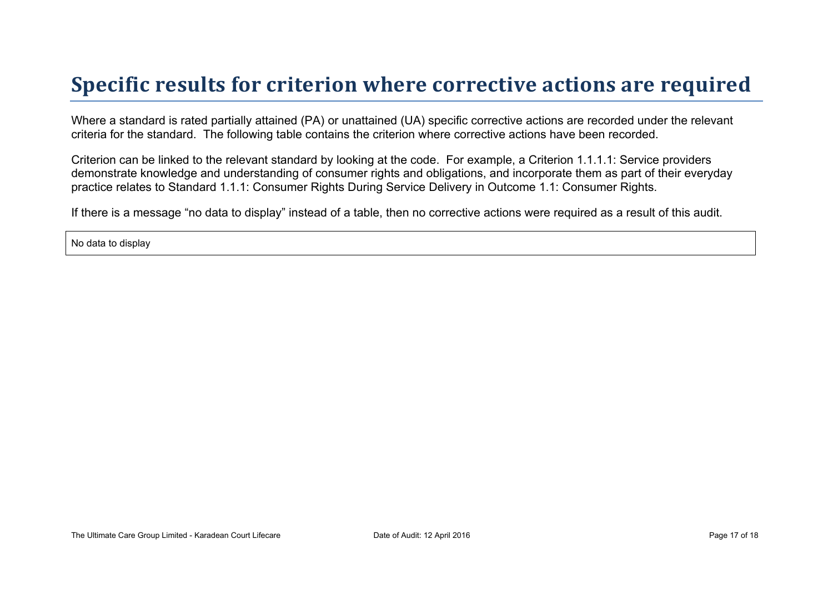# **Specific results for criterion where corrective actions are required**

Where a standard is rated partially attained (PA) or unattained (UA) specific corrective actions are recorded under the relevant criteria for the standard. The following table contains the criterion where corrective actions have been recorded.

Criterion can be linked to the relevant standard by looking at the code. For example, a Criterion 1.1.1.1: Service providers demonstrate knowledge and understanding of consumer rights and obligations, and incorporate them as part of their everyday practice relates to Standard 1.1.1: Consumer Rights During Service Delivery in Outcome 1.1: Consumer Rights.

If there is a message "no data to display" instead of a table, then no corrective actions were required as a result of this audit.

No data to display